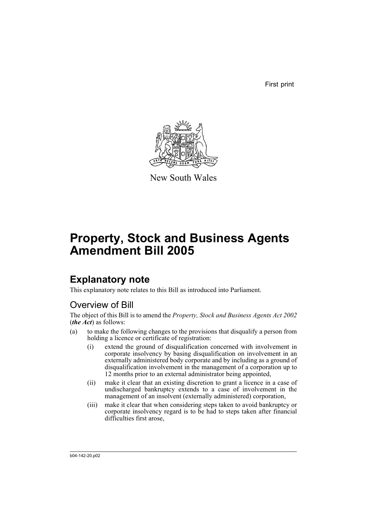First print



New South Wales

# **Property, Stock and Business Agents Amendment Bill 2005**

# **Explanatory note**

This explanatory note relates to this Bill as introduced into Parliament.

## Overview of Bill

The object of this Bill is to amend the *Property, Stock and Business Agents Act 2002* (*the Act*) as follows:

- (a) to make the following changes to the provisions that disqualify a person from holding a licence or certificate of registration:
	- (i) extend the ground of disqualification concerned with involvement in corporate insolvency by basing disqualification on involvement in an externally administered body corporate and by including as a ground of disqualification involvement in the management of a corporation up to 12 months prior to an external administrator being appointed,
	- (ii) make it clear that an existing discretion to grant a licence in a case of undischarged bankruptcy extends to a case of involvement in the management of an insolvent (externally administered) corporation,
	- (iii) make it clear that when considering steps taken to avoid bankruptcy or corporate insolvency regard is to be had to steps taken after financial difficulties first arose,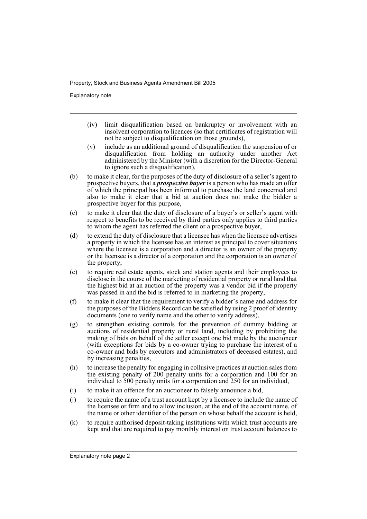Explanatory note

- (iv) limit disqualification based on bankruptcy or involvement with an insolvent corporation to licences (so that certificates of registration will not be subject to disqualification on those grounds),
- (v) include as an additional ground of disqualification the suspension of or disqualification from holding an authority under another Act administered by the Minister (with a discretion for the Director-General to ignore such a disqualification),
- (b) to make it clear, for the purposes of the duty of disclosure of a seller's agent to prospective buyers, that a *prospective buyer* is a person who has made an offer of which the principal has been informed to purchase the land concerned and also to make it clear that a bid at auction does not make the bidder a prospective buyer for this purpose,
- (c) to make it clear that the duty of disclosure of a buyer's or seller's agent with respect to benefits to be received by third parties only applies to third parties to whom the agent has referred the client or a prospective buyer,
- (d) to extend the duty of disclosure that a licensee has when the licensee advertises a property in which the licensee has an interest as principal to cover situations where the licensee is a corporation and a director is an owner of the property or the licensee is a director of a corporation and the corporation is an owner of the property,
- (e) to require real estate agents, stock and station agents and their employees to disclose in the course of the marketing of residential property or rural land that the highest bid at an auction of the property was a vendor bid if the property was passed in and the bid is referred to in marketing the property,
- (f) to make it clear that the requirement to verify a bidder's name and address for the purposes of the Bidders Record can be satisfied by using 2 proof of identity documents (one to verify name and the other to verify address),
- (g) to strengthen existing controls for the prevention of dummy bidding at auctions of residential property or rural land, including by prohibiting the making of bids on behalf of the seller except one bid made by the auctioneer (with exceptions for bids by a co-owner trying to purchase the interest of a co-owner and bids by executors and administrators of deceased estates), and by increasing penalties,
- (h) to increase the penalty for engaging in collusive practices at auction sales from the existing penalty of 200 penalty units for a corporation and 100 for an individual to 500 penalty units for a corporation and 250 for an individual,
- (i) to make it an offence for an auctioneer to falsely announce a bid,
- (j) to require the name of a trust account kept by a licensee to include the name of the licensee or firm and to allow inclusion, at the end of the account name, of the name or other identifier of the person on whose behalf the account is held,
- (k) to require authorised deposit-taking institutions with which trust accounts are kept and that are required to pay monthly interest on trust account balances to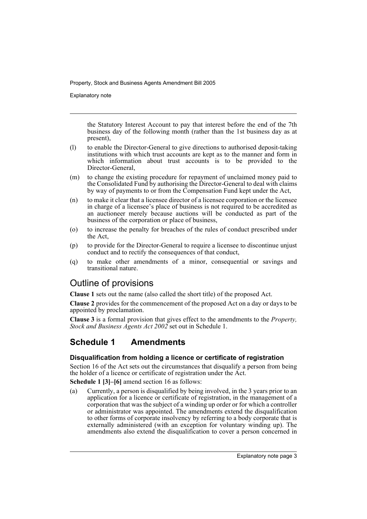Explanatory note

the Statutory Interest Account to pay that interest before the end of the 7th business day of the following month (rather than the 1st business day as at present),

- (l) to enable the Director-General to give directions to authorised deposit-taking institutions with which trust accounts are kept as to the manner and form in which information about trust accounts is to be provided to the Director-General,
- (m) to change the existing procedure for repayment of unclaimed money paid to the Consolidated Fund by authorising the Director-General to deal with claims by way of payments to or from the Compensation Fund kept under the Act,
- (n) to make it clear that a licensee director of a licensee corporation or the licensee in charge of a licensee's place of business is not required to be accredited as an auctioneer merely because auctions will be conducted as part of the business of the corporation or place of business,
- (o) to increase the penalty for breaches of the rules of conduct prescribed under the Act,
- (p) to provide for the Director-General to require a licensee to discontinue unjust conduct and to rectify the consequences of that conduct,
- (q) to make other amendments of a minor, consequential or savings and transitional nature.

# Outline of provisions

**Clause 1** sets out the name (also called the short title) of the proposed Act.

**Clause 2** provides for the commencement of the proposed Act on a day or days to be appointed by proclamation.

**Clause 3** is a formal provision that gives effect to the amendments to the *Property, Stock and Business Agents Act 2002* set out in Schedule 1.

## **Schedule 1 Amendments**

### **Disqualification from holding a licence or certificate of registration**

Section 16 of the Act sets out the circumstances that disqualify a person from being the holder of a licence or certificate of registration under the Act.

**Schedule 1 [3]–[6]** amend section 16 as follows:

(a) Currently, a person is disqualified by being involved, in the 3 years prior to an application for a licence or certificate of registration, in the management of a corporation that was the subject of a winding up order or for which a controller or administrator was appointed. The amendments extend the disqualification to other forms of corporate insolvency by referring to a body corporate that is externally administered (with an exception for voluntary winding up). The amendments also extend the disqualification to cover a person concerned in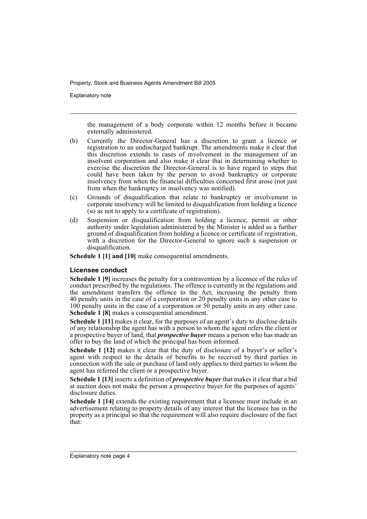Explanatory note

the management of a body corporate within 12 months before it became externally administered.

- (b) Currently the Director-General has a discretion to grant a licence or registration to an undischarged bankrupt. The amendments make it clear that this discretion extends to cases of involvement in the management of an insolvent corporation and also make it clear that in determining whether to exercise the discretion the Director-General is to have regard to steps that could have been taken by the person to avoid bankruptcy or corporate insolvency from when the financial difficulties concerned first arose (not just from when the bankruptcy or insolvency was notified).
- (c) Grounds of disqualification that relate to bankruptcy or involvement in corporate insolvency will be limited to disqualification from holding a licence (so as not to apply to a certificate of registration).
- (d) Suspension or disqualification from holding a licence, permit or other authority under legislation administered by the Minister is added as a further ground of disqualification from holding a licence or certificate of registration, with a discretion for the Director-General to ignore such a suspension or disqualification.

**Schedule 1 [1] and [10]** make consequential amendments.

#### **Licensee conduct**

**Schedule 1 [9]** increases the penalty for a contravention by a licensee of the rules of conduct prescribed by the regulations. The offence is currently in the regulations and the amendment transfers the offence to the Act, increasing the penalty from 40 penalty units in the case of a corporation or 20 penalty units in any other case to 100 penalty units in the case of a corporation or 50 penalty units in any other case. **Schedule 1 [8]** makes a consequential amendment.

**Schedule 1** [11] makes it clear, for the purposes of an agent's duty to disclose details of any relationship the agent has with a person to whom the agent refers the client or a prospective buyer of land, that *prospective buyer* means a person who has made an offer to buy the land of which the principal has been informed.

**Schedule 1 [12]** makes it clear that the duty of disclosure of a buyer's or seller's agent with respect to the details of benefits to be received by third parties in connection with the sale or purchase of land only applies to third parties to whom the agent has referred the client or a prospective buyer.

**Schedule 1 [13]** inserts a definition of *prospective buyer* that makes it clear that a bid at auction does not make the person a prospective buyer for the purposes of agents' disclosure duties.

**Schedule 1 [14]** extends the existing requirement that a licensee must include in an advertisement relating to property details of any interest that the licensee has in the property as a principal so that the requirement will also require disclosure of the fact  $\bar{t}$ hat: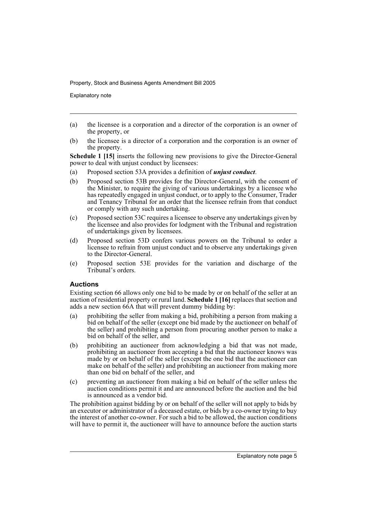Explanatory note

- (a) the licensee is a corporation and a director of the corporation is an owner of the property, or
- (b) the licensee is a director of a corporation and the corporation is an owner of the property.

**Schedule 1 [15]** inserts the following new provisions to give the Director-General power to deal with unjust conduct by licensees:

- (a) Proposed section 53A provides a definition of *unjust conduct*.
- (b) Proposed section 53B provides for the Director-General, with the consent of the Minister, to require the giving of various undertakings by a licensee who has repeatedly engaged in unjust conduct, or to apply to the Consumer, Trader and Tenancy Tribunal for an order that the licensee refrain from that conduct or comply with any such undertaking.
- (c) Proposed section 53C requires a licensee to observe any undertakings given by the licensee and also provides for lodgment with the Tribunal and registration of undertakings given by licensees.
- (d) Proposed section 53D confers various powers on the Tribunal to order a licensee to refrain from unjust conduct and to observe any undertakings given to the Director-General.
- (e) Proposed section 53E provides for the variation and discharge of the Tribunal's orders.

#### **Auctions**

Existing section 66 allows only one bid to be made by or on behalf of the seller at an auction of residential property or rural land. **Schedule 1 [16]** replaces that section and adds a new section 66A that will prevent dummy bidding by:

- (a) prohibiting the seller from making a bid, prohibiting a person from making a bid on behalf of the seller (except one bid made by the auctioneer on behalf of the seller) and prohibiting a person from procuring another person to make a bid on behalf of the seller, and
- (b) prohibiting an auctioneer from acknowledging a bid that was not made, prohibiting an auctioneer from accepting a bid that the auctioneer knows was made by or on behalf of the seller (except the one bid that the auctioneer can make on behalf of the seller) and prohibiting an auctioneer from making more than one bid on behalf of the seller, and
- (c) preventing an auctioneer from making a bid on behalf of the seller unless the auction conditions permit it and are announced before the auction and the bid is announced as a vendor bid.

The prohibition against bidding by or on behalf of the seller will not apply to bids by an executor or administrator of a deceased estate, or bids by a co-owner trying to buy the interest of another co-owner. For such a bid to be allowed, the auction conditions will have to permit it, the auctioneer will have to announce before the auction starts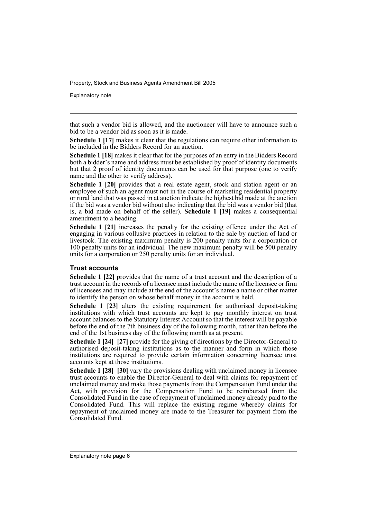Explanatory note

that such a vendor bid is allowed, and the auctioneer will have to announce such a bid to be a vendor bid as soon as it is made.

**Schedule 1 [17]** makes it clear that the regulations can require other information to be included in the Bidders Record for an auction.

**Schedule 1 [18]** makes it clear that for the purposes of an entry in the Bidders Record both a bidder's name and address must be established by proof of identity documents but that 2 proof of identity documents can be used for that purpose (one to verify name and the other to verify address).

**Schedule 1 [20]** provides that a real estate agent, stock and station agent or an employee of such an agent must not in the course of marketing residential property or rural land that was passed in at auction indicate the highest bid made at the auction if the bid was a vendor bid without also indicating that the bid was a vendor bid (that is, a bid made on behalf of the seller). **Schedule 1 [19]** makes a consequential amendment to a heading.

**Schedule 1 [21]** increases the penalty for the existing offence under the Act of engaging in various collusive practices in relation to the sale by auction of land or livestock. The existing maximum penalty is 200 penalty units for a corporation or 100 penalty units for an individual. The new maximum penalty will be 500 penalty units for a corporation or 250 penalty units for an individual.

### **Trust accounts**

**Schedule 1 [22]** provides that the name of a trust account and the description of a trust account in the records of a licensee must include the name of the licensee or firm of licensees and may include at the end of the account's name a name or other matter to identify the person on whose behalf money in the account is held.

**Schedule 1 [23]** alters the existing requirement for authorised deposit-taking institutions with which trust accounts are kept to pay monthly interest on trust account balances to the Statutory Interest Account so that the interest will be payable before the end of the 7th business day of the following month, rather than before the end of the 1st business day of the following month as at present.

**Schedule 1 [24]–[27]** provide for the giving of directions by the Director-General to authorised deposit-taking institutions as to the manner and form in which those institutions are required to provide certain information concerning licensee trust accounts kept at those institutions.

**Schedule 1 [28]–[30]** vary the provisions dealing with unclaimed money in licensee trust accounts to enable the Director-General to deal with claims for repayment of unclaimed money and make those payments from the Compensation Fund under the Act, with provision for the Compensation Fund to be reimbursed from the Consolidated Fund in the case of repayment of unclaimed money already paid to the Consolidated Fund. This will replace the existing regime whereby claims for repayment of unclaimed money are made to the Treasurer for payment from the Consolidated Fund.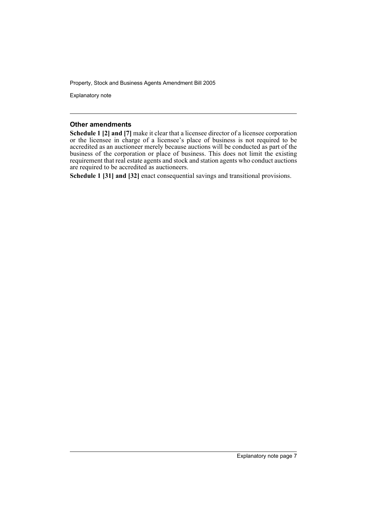Explanatory note

#### **Other amendments**

**Schedule 1 [2] and [7]** make it clear that a licensee director of a licensee corporation or the licensee in charge of a licensee's place of business is not required to be accredited as an auctioneer merely because auctions will be conducted as part of the business of the corporation or place of business. This does not limit the existing requirement that real estate agents and stock and station agents who conduct auctions are required to be accredited as auctioneers.

**Schedule 1 [31] and [32]** enact consequential savings and transitional provisions.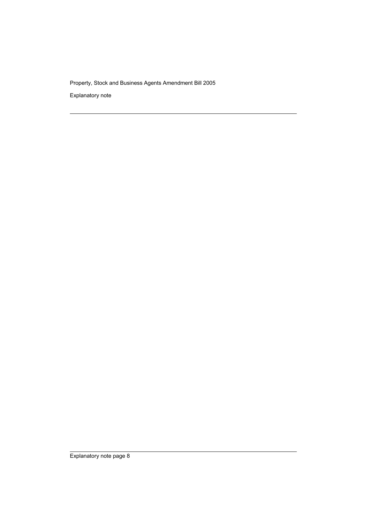Explanatory note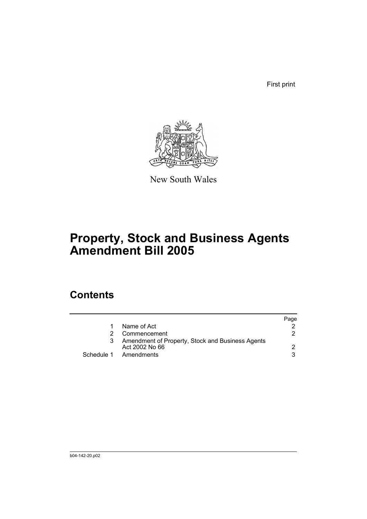First print



New South Wales

# **Property, Stock and Business Agents Amendment Bill 2005**

# **Contents**

|   |                                                                    | Page |
|---|--------------------------------------------------------------------|------|
|   | Name of Act                                                        |      |
| 2 | Commencement                                                       | 2    |
| 3 | Amendment of Property, Stock and Business Agents<br>Act 2002 No 66 |      |
|   | Schedule 1 Amendments                                              | 3.   |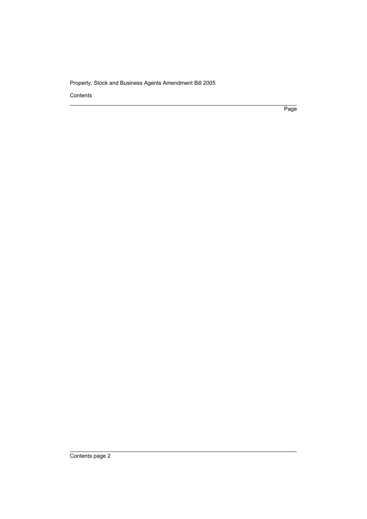Contents

Page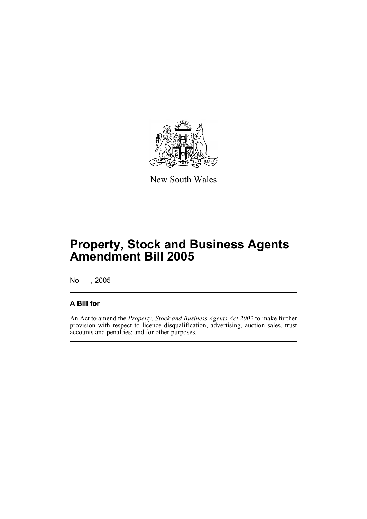

New South Wales

# **Property, Stock and Business Agents Amendment Bill 2005**

No , 2005

### **A Bill for**

An Act to amend the *Property, Stock and Business Agents Act 2002* to make further provision with respect to licence disqualification, advertising, auction sales, trust accounts and penalties; and for other purposes.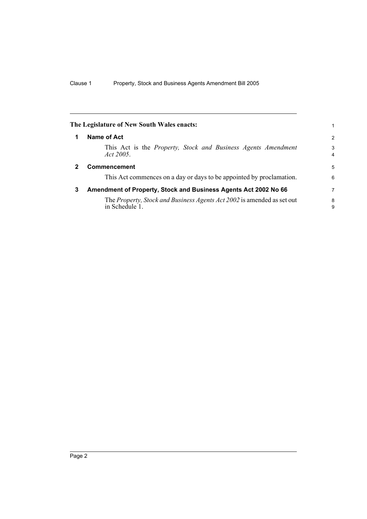<span id="page-11-2"></span><span id="page-11-1"></span><span id="page-11-0"></span>

|   | The Legislature of New South Wales enacts:                                                      |                     |
|---|-------------------------------------------------------------------------------------------------|---------------------|
| 1 | Name of Act                                                                                     | $\overline{2}$      |
|   | This Act is the <i>Property</i> , <i>Stock and Business Agents Amendment</i><br>Act $2005$ .    | 3<br>$\overline{4}$ |
|   | Commencement                                                                                    | 5                   |
|   | This Act commences on a day or days to be appointed by proclamation.                            | 6                   |
| 3 | Amendment of Property, Stock and Business Agents Act 2002 No 66                                 | 7                   |
|   | The <i>Property, Stock and Business Agents Act 2002</i> is amended as set out<br>in Schedule 1. | 8<br>9              |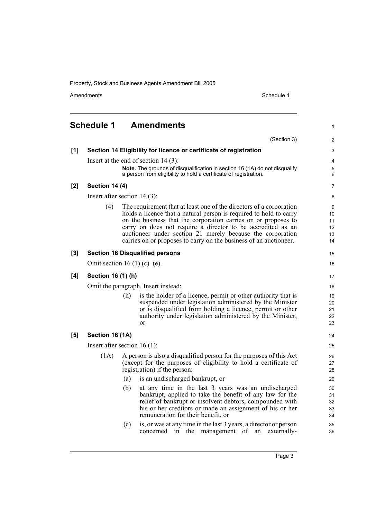Amendments **Amendments** Schedule 1

(Section 3)

1

15 16

# <span id="page-12-0"></span>**Schedule 1 Amendments [1] Section 14 Eligibility for licence or certificate of registration** Insert at the end of section 14 (3):

**Note.** The grounds of disqualification in section 16 (1A) do not disqualify a person from eligibility to hold a certificate of registration.

**[2] Section 14 (4)**

Insert after section 14 (3):

(4) The requirement that at least one of the directors of a corporation holds a licence that a natural person is required to hold to carry on the business that the corporation carries on or proposes to carry on does not require a director to be accredited as an auctioneer under section 21 merely because the corporation carries on or proposes to carry on the business of an auctioneer.

#### **[3] Section 16 Disqualified persons**

Omit section 16 (1) (c)–(e).

#### **[4] Section 16 (1) (h)**

Omit the paragraph. Insert instead:

(h) is the holder of a licence, permit or other authority that is suspended under legislation administered by the Minister or is disqualified from holding a licence, permit or other authority under legislation administered by the Minister, or

#### **[5] Section 16 (1A)**

Insert after section 16 (1):

- (1A) A person is also a disqualified person for the purposes of this Act (except for the purposes of eligibility to hold a certificate of registration) if the person:
	- (a) is an undischarged bankrupt, or
	- (b) at any time in the last 3 years was an undischarged bankrupt, applied to take the benefit of any law for the relief of bankrupt or insolvent debtors, compounded with his or her creditors or made an assignment of his or her remuneration for their benefit, or
	- (c) is, or was at any time in the last 3 years, a director or person concerned in the management of an externally-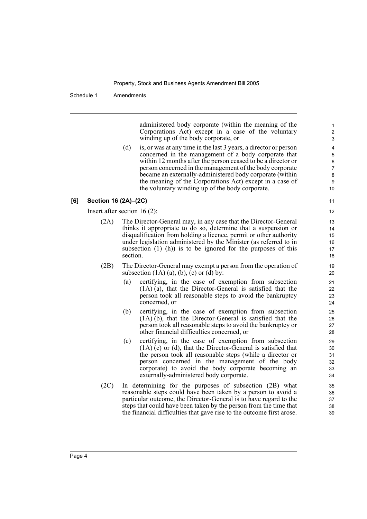Schedule 1 Amendments

administered body corporate (within the meaning of the Corporations Act) except in a case of the voluntary winding up of the body corporate, or

(d) is, or was at any time in the last 3 years, a director or person concerned in the management of a body corporate that within 12 months after the person ceased to be a director or person concerned in the management of the body corporate became an externally-administered body corporate (within the meaning of the Corporations Act) except in a case of the voluntary winding up of the body corporate.

#### **[6] Section 16 (2A)–(2C)**

Insert after section 16 (2):

- (2A) The Director-General may, in any case that the Director-General thinks it appropriate to do so, determine that a suspension or disqualification from holding a licence, permit or other authority under legislation administered by the Minister (as referred to in subsection  $(1)$   $(h)$  is to be ignored for the purposes of this section.
- (2B) The Director-General may exempt a person from the operation of subsection  $(1A)$   $(a)$ ,  $(b)$ ,  $(c)$  or  $(d)$  by:
	- (a) certifying, in the case of exemption from subsection (1A) (a), that the Director-General is satisfied that the person took all reasonable steps to avoid the bankruptcy concerned, or
	- (b) certifying, in the case of exemption from subsection (1A) (b), that the Director-General is satisfied that the person took all reasonable steps to avoid the bankruptcy or other financial difficulties concerned, or
	- (c) certifying, in the case of exemption from subsection  $(1A)$  (c) or (d), that the Director-General is satisfied that the person took all reasonable steps (while a director or person concerned in the management of the body corporate) to avoid the body corporate becoming an externally-administered body corporate.
- (2C) In determining for the purposes of subsection (2B) what reasonable steps could have been taken by a person to avoid a particular outcome, the Director-General is to have regard to the steps that could have been taken by the person from the time that the financial difficulties that gave rise to the outcome first arose.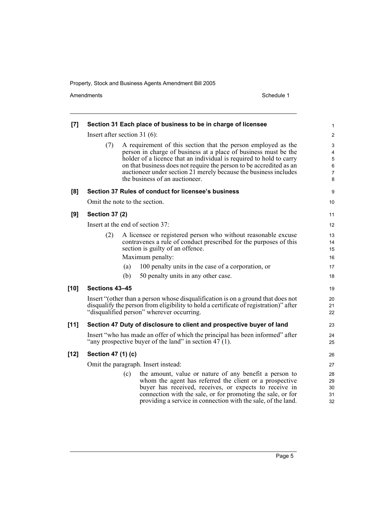Amendments Schedule 1

|                                 |                                                                                                                                                                                                                                                                                                                                                                                      | 1                                                                                                                                                                                                                                                                                                                                                                                                                                                                                                                                                                                                                                                                                                                                                |  |  |
|---------------------------------|--------------------------------------------------------------------------------------------------------------------------------------------------------------------------------------------------------------------------------------------------------------------------------------------------------------------------------------------------------------------------------------|--------------------------------------------------------------------------------------------------------------------------------------------------------------------------------------------------------------------------------------------------------------------------------------------------------------------------------------------------------------------------------------------------------------------------------------------------------------------------------------------------------------------------------------------------------------------------------------------------------------------------------------------------------------------------------------------------------------------------------------------------|--|--|
| Insert after section 31 $(6)$ : |                                                                                                                                                                                                                                                                                                                                                                                      |                                                                                                                                                                                                                                                                                                                                                                                                                                                                                                                                                                                                                                                                                                                                                  |  |  |
| (7)                             | A requirement of this section that the person employed as the<br>person in charge of business at a place of business must be the<br>holder of a licence that an individual is required to hold to carry<br>on that business does not require the person to be accredited as an<br>auctioneer under section 21 merely because the business includes<br>the business of an auctioneer. | 3<br>4<br>5<br>$\,6\,$<br>$\overline{7}$<br>8                                                                                                                                                                                                                                                                                                                                                                                                                                                                                                                                                                                                                                                                                                    |  |  |
|                                 |                                                                                                                                                                                                                                                                                                                                                                                      | 9                                                                                                                                                                                                                                                                                                                                                                                                                                                                                                                                                                                                                                                                                                                                                |  |  |
|                                 |                                                                                                                                                                                                                                                                                                                                                                                      | 10                                                                                                                                                                                                                                                                                                                                                                                                                                                                                                                                                                                                                                                                                                                                               |  |  |
|                                 |                                                                                                                                                                                                                                                                                                                                                                                      | 11                                                                                                                                                                                                                                                                                                                                                                                                                                                                                                                                                                                                                                                                                                                                               |  |  |
|                                 |                                                                                                                                                                                                                                                                                                                                                                                      | 12                                                                                                                                                                                                                                                                                                                                                                                                                                                                                                                                                                                                                                                                                                                                               |  |  |
| (2)                             | A licensee or registered person who without reasonable excuse<br>contravenes a rule of conduct prescribed for the purposes of this<br>section is guilty of an offence.                                                                                                                                                                                                               | 13<br>14<br>15                                                                                                                                                                                                                                                                                                                                                                                                                                                                                                                                                                                                                                                                                                                                   |  |  |
|                                 | Maximum penalty:                                                                                                                                                                                                                                                                                                                                                                     | 16                                                                                                                                                                                                                                                                                                                                                                                                                                                                                                                                                                                                                                                                                                                                               |  |  |
|                                 | 100 penalty units in the case of a corporation, or<br>(a)                                                                                                                                                                                                                                                                                                                            | 17                                                                                                                                                                                                                                                                                                                                                                                                                                                                                                                                                                                                                                                                                                                                               |  |  |
|                                 | 50 penalty units in any other case.<br>(b)                                                                                                                                                                                                                                                                                                                                           | 18                                                                                                                                                                                                                                                                                                                                                                                                                                                                                                                                                                                                                                                                                                                                               |  |  |
|                                 |                                                                                                                                                                                                                                                                                                                                                                                      | 19                                                                                                                                                                                                                                                                                                                                                                                                                                                                                                                                                                                                                                                                                                                                               |  |  |
|                                 |                                                                                                                                                                                                                                                                                                                                                                                      | 20<br>21<br>22                                                                                                                                                                                                                                                                                                                                                                                                                                                                                                                                                                                                                                                                                                                                   |  |  |
|                                 |                                                                                                                                                                                                                                                                                                                                                                                      | 23                                                                                                                                                                                                                                                                                                                                                                                                                                                                                                                                                                                                                                                                                                                                               |  |  |
|                                 |                                                                                                                                                                                                                                                                                                                                                                                      | 24<br>25                                                                                                                                                                                                                                                                                                                                                                                                                                                                                                                                                                                                                                                                                                                                         |  |  |
|                                 |                                                                                                                                                                                                                                                                                                                                                                                      | 26                                                                                                                                                                                                                                                                                                                                                                                                                                                                                                                                                                                                                                                                                                                                               |  |  |
|                                 |                                                                                                                                                                                                                                                                                                                                                                                      | 27                                                                                                                                                                                                                                                                                                                                                                                                                                                                                                                                                                                                                                                                                                                                               |  |  |
|                                 | the amount, value or nature of any benefit a person to<br>(c)<br>whom the agent has referred the client or a prospective<br>buyer has received, receives, or expects to receive in<br>connection with the sale, or for promoting the sale, or for<br>providing a service in connection with the sale, of the land.                                                                   | 28<br>29<br>30<br>31<br>32                                                                                                                                                                                                                                                                                                                                                                                                                                                                                                                                                                                                                                                                                                                       |  |  |
|                                 |                                                                                                                                                                                                                                                                                                                                                                                      | Section 31 Each place of business to be in charge of licensee<br>Section 37 Rules of conduct for licensee's business<br>Omit the note to the section.<br><b>Section 37 (2)</b><br>Insert at the end of section 37:<br>Sections 43-45<br>Insert "(other than a person whose disqualification is on a ground that does not<br>disqualify the person from eligibility to hold a certificate of registration)" after<br>"disqualified person" wherever occurring.<br>Section 47 Duty of disclosure to client and prospective buyer of land<br>Insert "who has made an offer of which the principal has been informed" after<br>"any prospective buyer of the land" in section $47(1)$ .<br>Section 47 (1) (c)<br>Omit the paragraph. Insert instead: |  |  |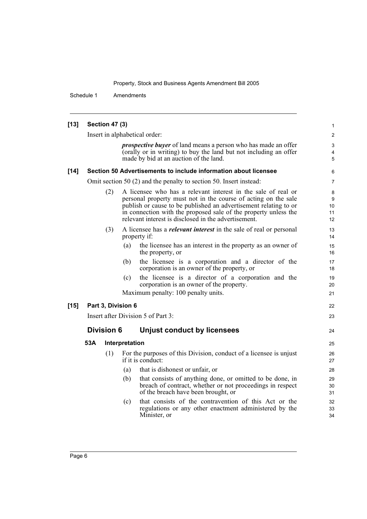Schedule 1 Amendments

| $[13]$ |                                    | <b>Section 47 (3)</b> |                    |                                                                                                                                                                                                                                                                                                                                | 1                        |
|--------|------------------------------------|-----------------------|--------------------|--------------------------------------------------------------------------------------------------------------------------------------------------------------------------------------------------------------------------------------------------------------------------------------------------------------------------------|--------------------------|
|        |                                    |                       |                    | Insert in alphabetical order:                                                                                                                                                                                                                                                                                                  | $\overline{\mathbf{c}}$  |
|        |                                    |                       |                    | <i>prospective buyer</i> of land means a person who has made an offer<br>(orally or in writing) to buy the land but not including an offer<br>made by bid at an auction of the land.                                                                                                                                           | 3<br>4<br>5              |
| $[14]$ |                                    |                       |                    | Section 50 Advertisements to include information about licensee                                                                                                                                                                                                                                                                | 6                        |
|        |                                    |                       |                    | Omit section 50 (2) and the penalty to section 50. Insert instead:                                                                                                                                                                                                                                                             | 7                        |
|        |                                    | (2)                   |                    | A licensee who has a relevant interest in the sale of real or<br>personal property must not in the course of acting on the sale<br>publish or cause to be published an advertisement relating to or<br>in connection with the proposed sale of the property unless the<br>relevant interest is disclosed in the advertisement. | 8<br>9<br>10<br>11<br>12 |
|        |                                    | (3)                   |                    | A licensee has a <i>relevant interest</i> in the sale of real or personal<br>property if:                                                                                                                                                                                                                                      | 13<br>14                 |
|        |                                    |                       | (a)                | the licensee has an interest in the property as an owner of<br>the property, or                                                                                                                                                                                                                                                | 15<br>16                 |
|        |                                    |                       | (b)                | the licensee is a corporation and a director of the<br>corporation is an owner of the property, or                                                                                                                                                                                                                             | 17<br>18                 |
|        |                                    |                       | (c)                | the licensee is a director of a corporation and the<br>corporation is an owner of the property.                                                                                                                                                                                                                                | 19<br>20                 |
|        |                                    |                       |                    | Maximum penalty: 100 penalty units.                                                                                                                                                                                                                                                                                            | 21                       |
| $[15]$ |                                    |                       | Part 3, Division 6 |                                                                                                                                                                                                                                                                                                                                | 22                       |
|        | Insert after Division 5 of Part 3: |                       |                    |                                                                                                                                                                                                                                                                                                                                |                          |
|        | <b>Division 6</b>                  |                       |                    | <b>Unjust conduct by licensees</b>                                                                                                                                                                                                                                                                                             | 24                       |
|        | 53A                                |                       | Interpretation     |                                                                                                                                                                                                                                                                                                                                |                          |
|        |                                    | (1)                   |                    | For the purposes of this Division, conduct of a licensee is unjust<br>if it is conduct:                                                                                                                                                                                                                                        | 26<br>27                 |
|        |                                    |                       | (a)                | that is dishonest or unfair, or                                                                                                                                                                                                                                                                                                | 28                       |
|        |                                    |                       | (b)                | that consists of anything done, or omitted to be done, in<br>breach of contract, whether or not proceedings in respect<br>of the breach have been brought, or                                                                                                                                                                  | 29<br>30<br>31           |
|        |                                    |                       | (c)                | that consists of the contravention of this Act or the<br>regulations or any other enactment administered by the<br>Minister, or                                                                                                                                                                                                | 32<br>33<br>34           |
|        |                                    |                       |                    |                                                                                                                                                                                                                                                                                                                                |                          |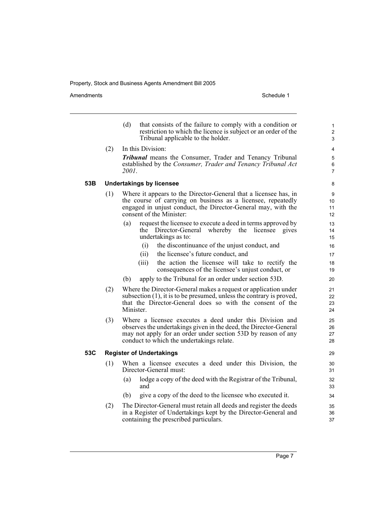Amendments Schedule 1

|     |     | (d)<br>that consists of the failure to comply with a condition or<br>restriction to which the licence is subject or an order of the<br>Tribunal applicable to the holder.                                                                   | $\mathbf{1}$<br>$\overline{c}$<br>3 |
|-----|-----|---------------------------------------------------------------------------------------------------------------------------------------------------------------------------------------------------------------------------------------------|-------------------------------------|
|     | (2) | In this Division:                                                                                                                                                                                                                           | 4                                   |
|     |     | <b>Tribunal</b> means the Consumer, Trader and Tenancy Tribunal<br>established by the Consumer, Trader and Tenancy Tribunal Act<br>2001.                                                                                                    | 5<br>6<br>$\overline{7}$            |
| 53B |     | <b>Undertakings by licensee</b>                                                                                                                                                                                                             | 8                                   |
|     | (1) | Where it appears to the Director-General that a licensee has, in<br>the course of carrying on business as a licensee, repeatedly<br>engaged in unjust conduct, the Director-General may, with the<br>consent of the Minister:               | 9<br>10<br>11<br>12                 |
|     |     | (a)<br>request the licensee to execute a deed in terms approved by<br>Director-General whereby the licensee<br>the<br>gives<br>undertakings as to:                                                                                          | 13<br>14<br>15                      |
|     |     | (i)<br>the discontinuance of the unjust conduct, and                                                                                                                                                                                        | 16                                  |
|     |     | (ii)<br>the licensee's future conduct, and                                                                                                                                                                                                  | 17                                  |
|     |     | the action the licensee will take to rectify the<br>(iii)<br>consequences of the licensee's unjust conduct, or                                                                                                                              | 18<br>19                            |
|     |     | apply to the Tribunal for an order under section 53D.<br>(b)                                                                                                                                                                                | 20                                  |
|     | (2) | Where the Director-General makes a request or application under<br>subsection (1), it is to be presumed, unless the contrary is proved,<br>that the Director-General does so with the consent of the<br>Minister.                           | 21<br>22<br>23<br>24                |
|     | (3) | Where a licensee executes a deed under this Division and<br>observes the undertakings given in the deed, the Director-General<br>may not apply for an order under section 53D by reason of any<br>conduct to which the undertakings relate. | 25<br>26<br>27<br>28                |
| 53C |     | <b>Register of Undertakings</b>                                                                                                                                                                                                             | 29                                  |
|     | (1) | When a licensee executes a deed under this Division, the<br>Director-General must:                                                                                                                                                          | 30<br>31                            |
|     |     | lodge a copy of the deed with the Registrar of the Tribunal,<br>(a)<br>and                                                                                                                                                                  | 32<br>33                            |
|     |     | give a copy of the deed to the licensee who executed it.<br>(b)                                                                                                                                                                             | 34                                  |
|     | (2) | The Director-General must retain all deeds and register the deeds<br>in a Register of Undertakings kept by the Director-General and<br>containing the prescribed particulars.                                                               | 35<br>36<br>37                      |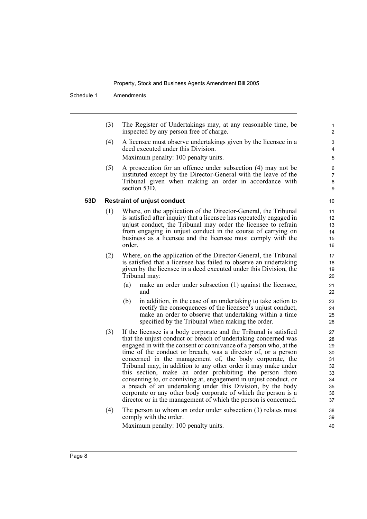#### Schedule 1 Amendments

(3) The Register of Undertakings may, at any reasonable time, be inspected by any person free of charge.

(4) A licensee must observe undertakings given by the licensee in a deed executed under this Division.

Maximum penalty: 100 penalty units.

(5) A prosecution for an offence under subsection (4) may not be instituted except by the Director-General with the leave of the Tribunal given when making an order in accordance with section 53D.

#### **53D Restraint of unjust conduct**

- (1) Where, on the application of the Director-General, the Tribunal is satisfied after inquiry that a licensee has repeatedly engaged in unjust conduct, the Tribunal may order the licensee to refrain from engaging in unjust conduct in the course of carrying on business as a licensee and the licensee must comply with the order.
- (2) Where, on the application of the Director-General, the Tribunal is satisfied that a licensee has failed to observe an undertaking given by the licensee in a deed executed under this Division, the Tribunal may:
	- (a) make an order under subsection (1) against the licensee, and
	- (b) in addition, in the case of an undertaking to take action to rectify the consequences of the licensee's unjust conduct, make an order to observe that undertaking within a time specified by the Tribunal when making the order.
- (3) If the licensee is a body corporate and the Tribunal is satisfied that the unjust conduct or breach of undertaking concerned was engaged in with the consent or connivance of a person who, at the time of the conduct or breach, was a director of, or a person concerned in the management of, the body corporate, the Tribunal may, in addition to any other order it may make under this section, make an order prohibiting the person from consenting to, or conniving at, engagement in unjust conduct, or a breach of an undertaking under this Division, by the body corporate or any other body corporate of which the person is a director or in the management of which the person is concerned.
- (4) The person to whom an order under subsection (3) relates must comply with the order. Maximum penalty: 100 penalty units. 38 39 40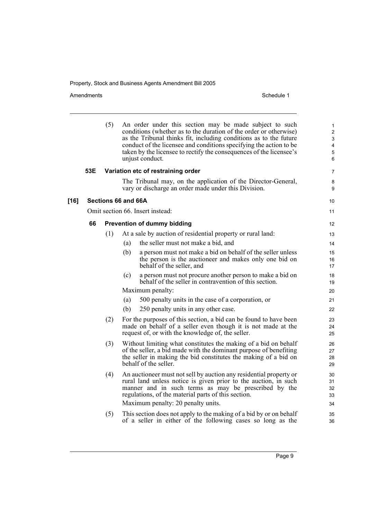#### Amendments Schedule 1

 $[16]$ 

|     | (5)                 |     | An order under this section may be made subject to such<br>conditions (whether as to the duration of the order or otherwise)<br>as the Tribunal thinks fit, including conditions as to the future<br>conduct of the licensee and conditions specifying the action to be<br>taken by the licensee to rectify the consequences of the licensee's<br>unjust conduct. | $\mathbf{1}$<br>$\overline{2}$<br>$\mathbf{3}$<br>$\overline{4}$<br>5<br>6 |
|-----|---------------------|-----|-------------------------------------------------------------------------------------------------------------------------------------------------------------------------------------------------------------------------------------------------------------------------------------------------------------------------------------------------------------------|----------------------------------------------------------------------------|
| 53E |                     |     | Variation etc of restraining order                                                                                                                                                                                                                                                                                                                                | 7                                                                          |
|     |                     |     | The Tribunal may, on the application of the Director-General,<br>vary or discharge an order made under this Division.                                                                                                                                                                                                                                             | 8<br>9                                                                     |
|     | Sections 66 and 66A |     |                                                                                                                                                                                                                                                                                                                                                                   | 10                                                                         |
|     |                     |     | Omit section 66. Insert instead:                                                                                                                                                                                                                                                                                                                                  | 11                                                                         |
| 66  |                     |     | <b>Prevention of dummy bidding</b>                                                                                                                                                                                                                                                                                                                                | 12                                                                         |
|     | (1)                 |     | At a sale by auction of residential property or rural land:                                                                                                                                                                                                                                                                                                       | 13                                                                         |
|     |                     | (a) | the seller must not make a bid, and                                                                                                                                                                                                                                                                                                                               | 14                                                                         |
|     |                     | (b) | a person must not make a bid on behalf of the seller unless<br>the person is the auctioneer and makes only one bid on<br>behalf of the seller, and                                                                                                                                                                                                                | 15<br>16<br>17                                                             |
|     |                     | (c) | a person must not procure another person to make a bid on<br>behalf of the seller in contravention of this section.                                                                                                                                                                                                                                               | 18<br>19                                                                   |
|     |                     |     | Maximum penalty:                                                                                                                                                                                                                                                                                                                                                  | 20                                                                         |
|     |                     | (a) | 500 penalty units in the case of a corporation, or                                                                                                                                                                                                                                                                                                                | 21                                                                         |
|     |                     | (b) | 250 penalty units in any other case.                                                                                                                                                                                                                                                                                                                              | 22                                                                         |
|     | (2)                 |     | For the purposes of this section, a bid can be found to have been<br>made on behalf of a seller even though it is not made at the<br>request of, or with the knowledge of, the seller.                                                                                                                                                                            | 23<br>24<br>25                                                             |
|     | (3)                 |     | Without limiting what constitutes the making of a bid on behalf<br>of the seller, a bid made with the dominant purpose of benefiting<br>the seller in making the bid constitutes the making of a bid on<br>behalf of the seller.                                                                                                                                  | 26<br>27<br>28<br>29                                                       |
|     | (4)                 |     | An auctioneer must not sell by auction any residential property or<br>rural land unless notice is given prior to the auction, in such<br>manner and in such terms as may be prescribed by the<br>regulations, of the material parts of this section.<br>Maximum penalty: 20 penalty units.                                                                        | 30<br>31<br>32<br>33<br>34                                                 |
|     | (5)                 |     | This section does not apply to the making of a bid by or on behalf<br>of a seller in either of the following cases so long as the                                                                                                                                                                                                                                 | 35<br>36                                                                   |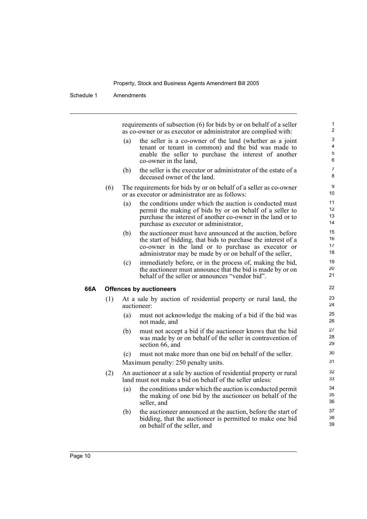Schedule 1 Amendments

requirements of subsection (6) for bids by or on behalf of a seller as co-owner or as executor or administrator are complied with:

- (a) the seller is a co-owner of the land (whether as a joint tenant or tenant in common) and the bid was made to enable the seller to purchase the interest of another co-owner in the land,
- (b) the seller is the executor or administrator of the estate of a deceased owner of the land.
- (6) The requirements for bids by or on behalf of a seller as co-owner or as executor or administrator are as follows:
	- (a) the conditions under which the auction is conducted must permit the making of bids by or on behalf of a seller to purchase the interest of another co-owner in the land or to purchase as executor or administrator,
	- (b) the auctioneer must have announced at the auction, before the start of bidding, that bids to purchase the interest of a co-owner in the land or to purchase as executor or administrator may be made by or on behalf of the seller,
	- (c) immediately before, or in the process of, making the bid, the auctioneer must announce that the bid is made by or on behalf of the seller or announces "vendor bid".

#### **66A Offences by auctioneers**

- (1) At a sale by auction of residential property or rural land, the auctioneer:
	- (a) must not acknowledge the making of a bid if the bid was not made, and
	- (b) must not accept a bid if the auctioneer knows that the bid was made by or on behalf of the seller in contravention of section 66, and

(c) must not make more than one bid on behalf of the seller. Maximum penalty: 250 penalty units.

- (2) An auctioneer at a sale by auction of residential property or rural land must not make a bid on behalf of the seller unless:
	- (a) the conditions under which the auction is conducted permit the making of one bid by the auctioneer on behalf of the seller, and
	- (b) the auctioneer announced at the auction, before the start of bidding, that the auctioneer is permitted to make one bid on behalf of the seller, and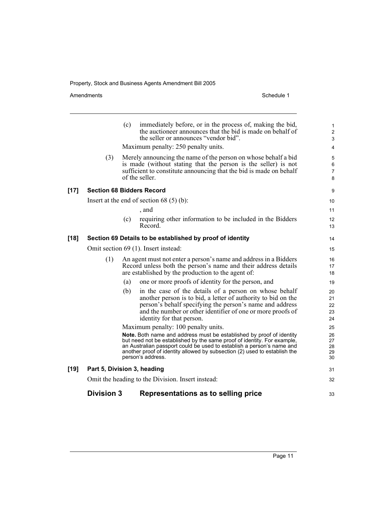Amendments Schedule 1

 $[17]$ 

**[19] Part 5, Division 3, heading**

|        | <b>Division 3</b>                |     | <b>Representations as to selling price</b>                                                                                                                                                                                                                                                                                 | 33                                             |
|--------|----------------------------------|-----|----------------------------------------------------------------------------------------------------------------------------------------------------------------------------------------------------------------------------------------------------------------------------------------------------------------------------|------------------------------------------------|
|        |                                  |     | Omit the heading to the Division. Insert instead:                                                                                                                                                                                                                                                                          | 32                                             |
| [19]   | Part 5, Division 3, heading      |     |                                                                                                                                                                                                                                                                                                                            | 31                                             |
|        |                                  |     | Note. Both name and address must be established by proof of identity<br>but need not be established by the same proof of identity. For example,<br>an Australian passport could be used to establish a person's name and<br>another proof of identity allowed by subsection (2) used to establish the<br>person's address. | 26<br>27<br>28<br>29<br>30                     |
|        |                                  |     | Maximum penalty: 100 penalty units.                                                                                                                                                                                                                                                                                        | 25                                             |
|        |                                  | (b) | in the case of the details of a person on whose behalf<br>another person is to bid, a letter of authority to bid on the<br>person's behalf specifying the person's name and address<br>and the number or other identifier of one or more proofs of<br>identity for that person.                                            | 20<br>21<br>22<br>23<br>24                     |
|        |                                  | (a) | one or more proofs of identity for the person, and                                                                                                                                                                                                                                                                         | 19                                             |
|        | (1)                              |     | An agent must not enter a person's name and address in a Bidders<br>Record unless both the person's name and their address details<br>are established by the production to the agent of:                                                                                                                                   | 16<br>17<br>18                                 |
|        |                                  |     | Omit section 69 (1). Insert instead:                                                                                                                                                                                                                                                                                       | 15                                             |
| [18]   |                                  |     | Section 69 Details to be established by proof of identity                                                                                                                                                                                                                                                                  | 14                                             |
|        |                                  | (c) | requiring other information to be included in the Bidders<br>Record.                                                                                                                                                                                                                                                       | 12<br>13                                       |
|        |                                  |     | , and                                                                                                                                                                                                                                                                                                                      | 11                                             |
|        |                                  |     | Insert at the end of section 68 $(5)$ (b):                                                                                                                                                                                                                                                                                 | 10                                             |
| $[17]$ | <b>Section 68 Bidders Record</b> |     |                                                                                                                                                                                                                                                                                                                            | 9                                              |
|        | (3)                              |     | Merely announcing the name of the person on whose behalf a bid<br>is made (without stating that the person is the seller) is not<br>sufficient to constitute announcing that the bid is made on behalf<br>of the seller.                                                                                                   | 5<br>6<br>$\overline{7}$<br>8                  |
|        |                                  |     | Maximum penalty: 250 penalty units.                                                                                                                                                                                                                                                                                        | 4                                              |
|        |                                  | (c) | immediately before, or in the process of, making the bid,<br>the auctioneer announces that the bid is made on behalf of<br>the seller or announces "vendor bid".                                                                                                                                                           | $\mathbf{1}$<br>$\overline{2}$<br>$\mathbf{3}$ |
|        |                                  |     |                                                                                                                                                                                                                                                                                                                            |                                                |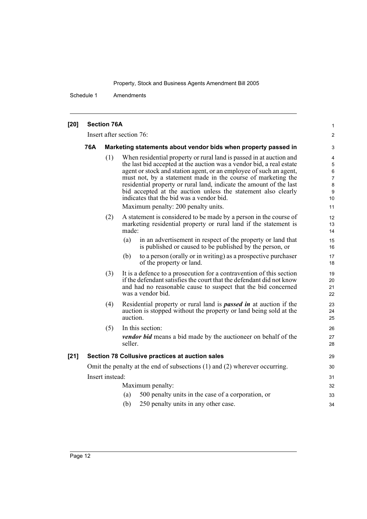Schedule 1 Amendments

| $[20]$ |                                                                                                          | <b>Section 76A</b>       |                                                                                                                                                                                                                                                                                                                                                                                                                                                                                                              | 1                                      |  |  |
|--------|----------------------------------------------------------------------------------------------------------|--------------------------|--------------------------------------------------------------------------------------------------------------------------------------------------------------------------------------------------------------------------------------------------------------------------------------------------------------------------------------------------------------------------------------------------------------------------------------------------------------------------------------------------------------|----------------------------------------|--|--|
|        |                                                                                                          | Insert after section 76: |                                                                                                                                                                                                                                                                                                                                                                                                                                                                                                              |                                        |  |  |
|        | 76A                                                                                                      |                          | Marketing statements about vendor bids when property passed in                                                                                                                                                                                                                                                                                                                                                                                                                                               | 3                                      |  |  |
|        |                                                                                                          | (1)                      | When residential property or rural land is passed in at auction and<br>the last bid accepted at the auction was a vendor bid, a real estate<br>agent or stock and station agent, or an employee of such an agent,<br>must not, by a statement made in the course of marketing the<br>residential property or rural land, indicate the amount of the last<br>bid accepted at the auction unless the statement also clearly<br>indicates that the bid was a vendor bid.<br>Maximum penalty: 200 penalty units. | 4<br>5<br>6<br>7<br>8<br>9<br>10<br>11 |  |  |
|        |                                                                                                          | (2)                      | A statement is considered to be made by a person in the course of<br>marketing residential property or rural land if the statement is<br>made:                                                                                                                                                                                                                                                                                                                                                               | 12<br>13<br>14                         |  |  |
|        |                                                                                                          |                          | (a)<br>in an advertisement in respect of the property or land that<br>is published or caused to be published by the person, or                                                                                                                                                                                                                                                                                                                                                                               | 15<br>16                               |  |  |
|        |                                                                                                          |                          | (b)<br>to a person (orally or in writing) as a prospective purchaser<br>of the property or land.                                                                                                                                                                                                                                                                                                                                                                                                             | 17<br>18                               |  |  |
|        |                                                                                                          | (3)                      | It is a defence to a prosecution for a contravention of this section<br>if the defendant satisfies the court that the defendant did not know<br>and had no reasonable cause to suspect that the bid concerned<br>was a vendor bid.                                                                                                                                                                                                                                                                           | 19<br>20<br>21<br>22                   |  |  |
|        |                                                                                                          | (4)                      | Residential property or rural land is <i>passed in</i> at auction if the<br>auction is stopped without the property or land being sold at the<br>auction.                                                                                                                                                                                                                                                                                                                                                    | 23<br>24<br>25                         |  |  |
|        |                                                                                                          | (5)                      | In this section:<br>vendor bid means a bid made by the auctioneer on behalf of the<br>seller.                                                                                                                                                                                                                                                                                                                                                                                                                | 26<br>27<br>28                         |  |  |
| $[21]$ |                                                                                                          |                          | Section 78 Collusive practices at auction sales                                                                                                                                                                                                                                                                                                                                                                                                                                                              | 29                                     |  |  |
|        |                                                                                                          |                          | Omit the penalty at the end of subsections $(1)$ and $(2)$ wherever occurring.                                                                                                                                                                                                                                                                                                                                                                                                                               | 30                                     |  |  |
|        |                                                                                                          | Insert instead:          |                                                                                                                                                                                                                                                                                                                                                                                                                                                                                                              | 31                                     |  |  |
|        |                                                                                                          |                          | Maximum penalty:                                                                                                                                                                                                                                                                                                                                                                                                                                                                                             | 32                                     |  |  |
|        | 500 penalty units in the case of a corporation, or<br>(a)<br>(b)<br>250 penalty units in any other case. |                          |                                                                                                                                                                                                                                                                                                                                                                                                                                                                                                              |                                        |  |  |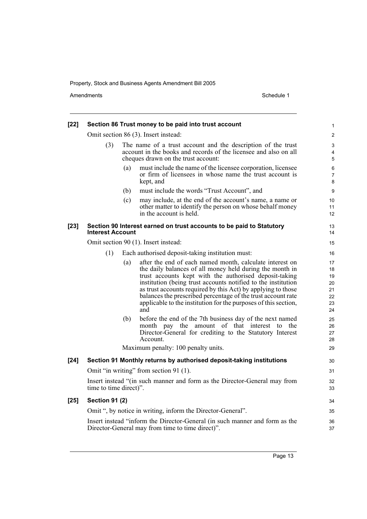Amendments Schedule 1

| $[22]$ |                         |     | Section 86 Trust money to be paid into trust account                                                                                                                                                                                                                                                                                                                                                                                                      | 1                                            |
|--------|-------------------------|-----|-----------------------------------------------------------------------------------------------------------------------------------------------------------------------------------------------------------------------------------------------------------------------------------------------------------------------------------------------------------------------------------------------------------------------------------------------------------|----------------------------------------------|
|        |                         |     | Omit section 86 (3). Insert instead:                                                                                                                                                                                                                                                                                                                                                                                                                      | $\overline{2}$                               |
|        | (3)                     |     | The name of a trust account and the description of the trust<br>account in the books and records of the licensee and also on all<br>cheques drawn on the trust account:                                                                                                                                                                                                                                                                                   | 3<br>4<br>5                                  |
|        |                         | (a) | must include the name of the licensee corporation, licensee<br>or firm of licensees in whose name the trust account is<br>kept, and                                                                                                                                                                                                                                                                                                                       | $\,6$<br>$\overline{7}$<br>8                 |
|        |                         | (b) | must include the words "Trust Account", and                                                                                                                                                                                                                                                                                                                                                                                                               | 9                                            |
|        |                         | (c) | may include, at the end of the account's name, a name or<br>other matter to identify the person on whose behalf money<br>in the account is held.                                                                                                                                                                                                                                                                                                          | 10<br>11<br>12                               |
| $[23]$ | <b>Interest Account</b> |     | Section 90 Interest earned on trust accounts to be paid to Statutory                                                                                                                                                                                                                                                                                                                                                                                      | 13<br>14                                     |
|        |                         |     | Omit section 90 (1). Insert instead:                                                                                                                                                                                                                                                                                                                                                                                                                      | 15                                           |
|        | (1)                     |     | Each authorised deposit-taking institution must:                                                                                                                                                                                                                                                                                                                                                                                                          | 16                                           |
|        |                         | (a) | after the end of each named month, calculate interest on<br>the daily balances of all money held during the month in<br>trust accounts kept with the authorised deposit-taking<br>institution (being trust accounts notified to the institution<br>as trust accounts required by this Act) by applying to those<br>balances the prescribed percentage of the trust account rate<br>applicable to the institution for the purposes of this section,<br>and | 17<br>18<br>19<br>20<br>21<br>22<br>23<br>24 |
|        |                         | (b) | before the end of the 7th business day of the next named<br>month pay the amount of that interest to the<br>Director-General for crediting to the Statutory Interest<br>Account.                                                                                                                                                                                                                                                                          | 25<br>26<br>27<br>28                         |
|        |                         |     | Maximum penalty: 100 penalty units.                                                                                                                                                                                                                                                                                                                                                                                                                       | 29                                           |
| $[24]$ |                         |     | Section 91 Monthly returns by authorised deposit-taking institutions                                                                                                                                                                                                                                                                                                                                                                                      | 30                                           |
|        |                         |     | Omit "in writing" from section 91 (1).                                                                                                                                                                                                                                                                                                                                                                                                                    | 31                                           |
|        | time to time direct)".  |     | Insert instead "(in such manner and form as the Director-General may from                                                                                                                                                                                                                                                                                                                                                                                 | 32<br>33                                     |
| $[25]$ | <b>Section 91 (2)</b>   |     |                                                                                                                                                                                                                                                                                                                                                                                                                                                           | 34                                           |
|        |                         |     | Omit ", by notice in writing, inform the Director-General".                                                                                                                                                                                                                                                                                                                                                                                               | 35                                           |
|        |                         |     | Insert instead "inform the Director-General (in such manner and form as the<br>Director-General may from time to time direct)".                                                                                                                                                                                                                                                                                                                           | 36<br>37                                     |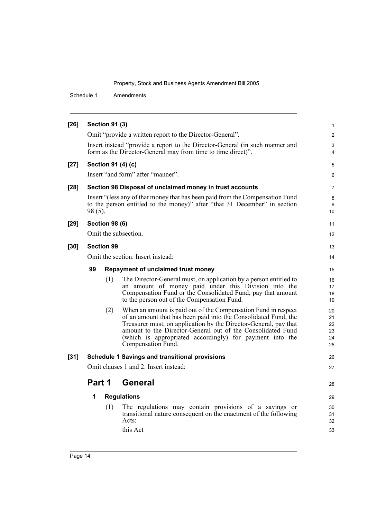Schedule 1 Amendments

| $[26]$ |                                       | <b>Section 91 (3)</b> |                                                                                                                                                                                                                                                                                                                                                        | $\mathbf{1}$                     |  |  |
|--------|---------------------------------------|-----------------------|--------------------------------------------------------------------------------------------------------------------------------------------------------------------------------------------------------------------------------------------------------------------------------------------------------------------------------------------------------|----------------------------------|--|--|
|        |                                       |                       | Omit "provide a written report to the Director-General".                                                                                                                                                                                                                                                                                               | 2                                |  |  |
|        |                                       |                       | Insert instead "provide a report to the Director-General (in such manner and<br>form as the Director-General may from time to time direct)".                                                                                                                                                                                                           | 3<br>4                           |  |  |
| $[27]$ |                                       |                       | Section 91 (4) (c)                                                                                                                                                                                                                                                                                                                                     | 5                                |  |  |
|        |                                       |                       | Insert "and form" after "manner".                                                                                                                                                                                                                                                                                                                      | 6                                |  |  |
| $[28]$ |                                       |                       | Section 98 Disposal of unclaimed money in trust accounts                                                                                                                                                                                                                                                                                               | 7                                |  |  |
|        | 98 (5).                               |                       | Insert "(less any of that money that has been paid from the Compensation Fund<br>to the person entitled to the money)" after "that 31 December" in section                                                                                                                                                                                             | 8<br>9<br>10                     |  |  |
| $[29]$ |                                       | <b>Section 98 (6)</b> |                                                                                                                                                                                                                                                                                                                                                        | 11                               |  |  |
|        |                                       |                       | Omit the subsection.                                                                                                                                                                                                                                                                                                                                   | $12 \overline{ }$                |  |  |
| $[30]$ |                                       | <b>Section 99</b>     |                                                                                                                                                                                                                                                                                                                                                        | 13                               |  |  |
|        | Omit the section. Insert instead:     |                       |                                                                                                                                                                                                                                                                                                                                                        |                                  |  |  |
|        | 99                                    |                       | Repayment of unclaimed trust money                                                                                                                                                                                                                                                                                                                     | 15                               |  |  |
|        |                                       | (1)                   | The Director-General must, on application by a person entitled to<br>an amount of money paid under this Division into the<br>Compensation Fund or the Consolidated Fund, pay that amount<br>to the person out of the Compensation Fund.                                                                                                                | 16<br>17<br>18<br>19             |  |  |
|        |                                       | (2)                   | When an amount is paid out of the Compensation Fund in respect<br>of an amount that has been paid into the Consolidated Fund, the<br>Treasurer must, on application by the Director-General, pay that<br>amount to the Director-General out of the Consolidated Fund<br>(which is appropriated accordingly) for payment into the<br>Compensation Fund. | 20<br>21<br>22<br>23<br>24<br>25 |  |  |
| $[31]$ |                                       |                       | <b>Schedule 1 Savings and transitional provisions</b>                                                                                                                                                                                                                                                                                                  | 26                               |  |  |
|        | Omit clauses 1 and 2. Insert instead: |                       |                                                                                                                                                                                                                                                                                                                                                        |                                  |  |  |
|        | Part 1                                |                       | <b>General</b>                                                                                                                                                                                                                                                                                                                                         | 28                               |  |  |
|        | 1                                     |                       | <b>Regulations</b>                                                                                                                                                                                                                                                                                                                                     | 29                               |  |  |
|        |                                       | (1)                   | The regulations may contain provisions of a savings or<br>transitional nature consequent on the enactment of the following<br>Acts:                                                                                                                                                                                                                    | 30<br>31<br>32                   |  |  |
|        |                                       |                       | this Act                                                                                                                                                                                                                                                                                                                                               | 33                               |  |  |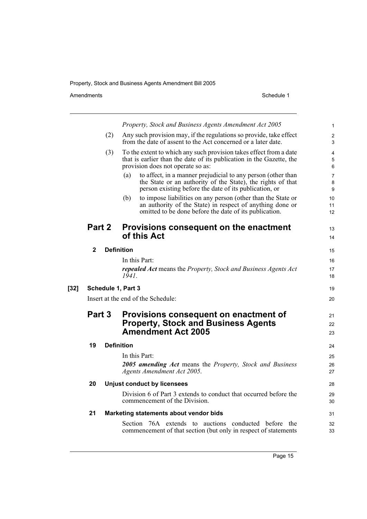Amendments Schedule 1

**[32]** 

|              |                   | Property, Stock and Business Agents Amendment Act 2005                                                                                                                                       | 1              |  |  |
|--------------|-------------------|----------------------------------------------------------------------------------------------------------------------------------------------------------------------------------------------|----------------|--|--|
|              | (2)               | Any such provision may, if the regulations so provide, take effect<br>from the date of assent to the Act concerned or a later date.                                                          |                |  |  |
|              | (3)               | To the extent to which any such provision takes effect from a date<br>that is earlier than the date of its publication in the Gazette, the<br>provision does not operate so as:              | 4<br>5<br>6    |  |  |
|              |                   | to affect, in a manner prejudicial to any person (other than<br>(a)<br>the State or an authority of the State), the rights of that<br>person existing before the date of its publication, or | 7<br>8<br>9    |  |  |
|              |                   | to impose liabilities on any person (other than the State or<br>(b)<br>an authority of the State) in respect of anything done or<br>omitted to be done before the date of its publication.   | 10<br>11<br>12 |  |  |
| Part 2       |                   | Provisions consequent on the enactment<br>of this Act                                                                                                                                        | 13<br>14       |  |  |
| $\mathbf{2}$ | <b>Definition</b> |                                                                                                                                                                                              | 15             |  |  |
|              |                   | In this Part:<br><b>repealed Act</b> means the Property, Stock and Business Agents Act<br>1941.                                                                                              | 16<br>17<br>18 |  |  |
|              |                   | Schedule 1, Part 3                                                                                                                                                                           | 19             |  |  |
|              |                   | Insert at the end of the Schedule:                                                                                                                                                           | 20             |  |  |
| Part 3       |                   | Provisions consequent on enactment of<br><b>Property, Stock and Business Agents</b><br><b>Amendment Act 2005</b>                                                                             | 21<br>22<br>23 |  |  |
| 19           | <b>Definition</b> |                                                                                                                                                                                              | 24             |  |  |
|              |                   | In this Part:<br><b>2005 amending Act</b> means the Property, Stock and Business<br>Agents Amendment Act 2005.                                                                               | 25<br>26<br>27 |  |  |
| 20           |                   | <b>Unjust conduct by licensees</b>                                                                                                                                                           | 28             |  |  |
|              |                   | Division 6 of Part 3 extends to conduct that occurred before the<br>commencement of the Division.                                                                                            | 29<br>30       |  |  |
| 21           |                   | Marketing statements about vendor bids                                                                                                                                                       | 31             |  |  |
|              |                   | Section 76A extends to auctions conducted before the<br>commencement of that section (but only in respect of statements                                                                      | 32<br>33       |  |  |
|              |                   |                                                                                                                                                                                              |                |  |  |